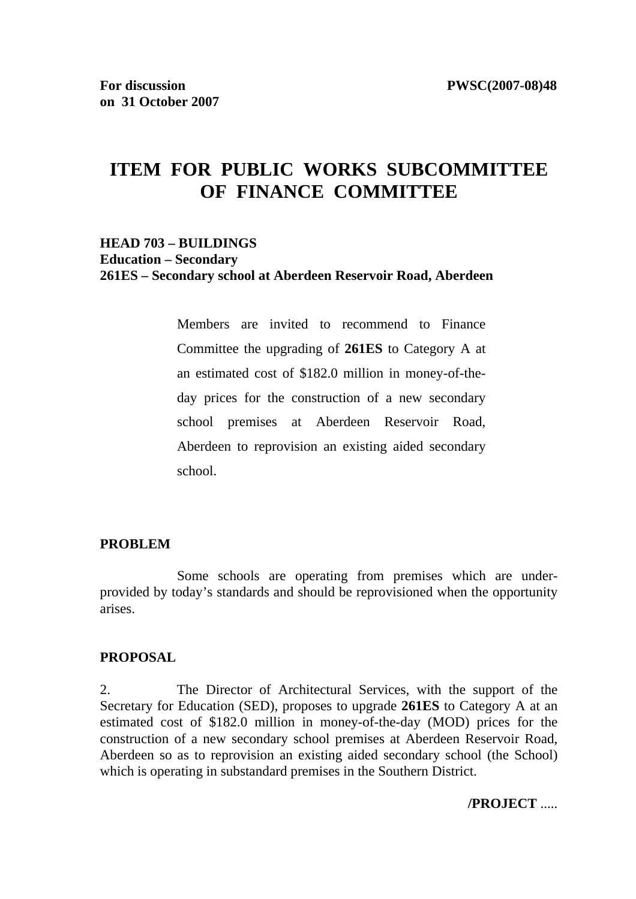# **ITEM FOR PUBLIC WORKS SUBCOMMITTEE OF FINANCE COMMITTEE**

### **HEAD 703 – BUILDINGS Education – Secondary 261ES – Secondary school at Aberdeen Reservoir Road, Aberdeen**

Members are invited to recommend to Finance Committee the upgrading of **261ES** to Category A at an estimated cost of \$182.0 million in money-of-theday prices for the construction of a new secondary school premises at Aberdeen Reservoir Road, Aberdeen to reprovision an existing aided secondary school.

#### **PROBLEM**

 Some schools are operating from premises which are underprovided by today's standards and should be reprovisioned when the opportunity arises.

#### **PROPOSAL**

2. The Director of Architectural Services, with the support of the Secretary for Education (SED), proposes to upgrade **261ES** to Category A at an estimated cost of \$182.0 million in money-of-the-day (MOD) prices for the construction of a new secondary school premises at Aberdeen Reservoir Road, Aberdeen so as to reprovision an existing aided secondary school (the School) which is operating in substandard premises in the Southern District.

#### **/PROJECT** .....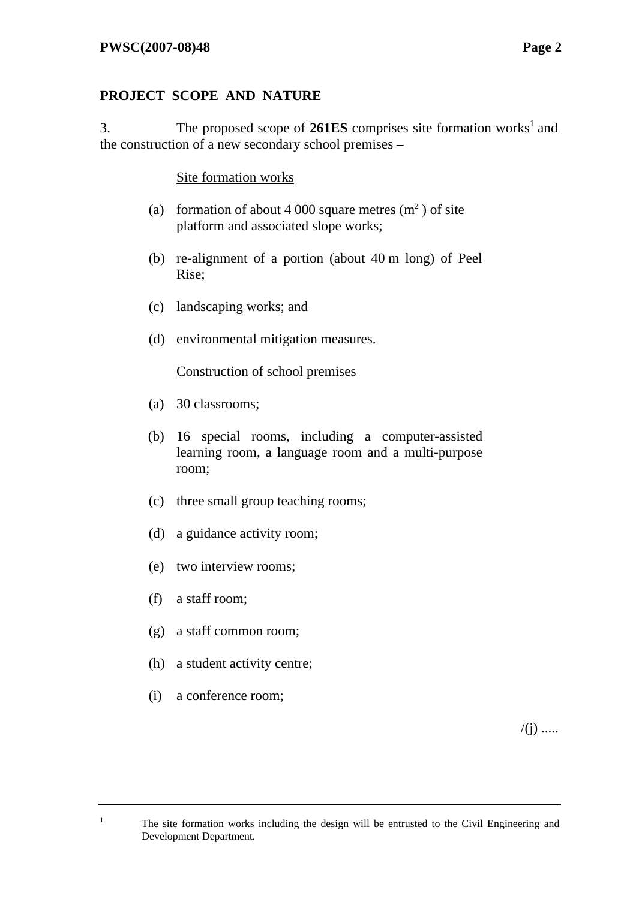# **PROJECT SCOPE AND NATURE**

3. The proposed scope of  $261ES$  comprises site formation works<sup>1</sup> and the construction of a new secondary school premises –

Site formation works

- (a) formation of about 4 000 square metres  $(m<sup>2</sup>)$  of site platform and associated slope works;
- (b) re-alignment of a portion (about 40 m long) of Peel Rise;
- (c) landscaping works; and
- (d) environmental mitigation measures.

Construction of school premises

- (a) 30 classrooms;
- (b) 16 special rooms, including a computer-assisted learning room, a language room and a multi-purpose room;
- (c) three small group teaching rooms;
- (d) a guidance activity room;
- (e) two interview rooms;
- (f) a staff room;
- (g) a staff common room;
- (h) a student activity centre;
- (i) a conference room;

1

 $/(j)$  .....

The site formation works including the design will be entrusted to the Civil Engineering and Development Department.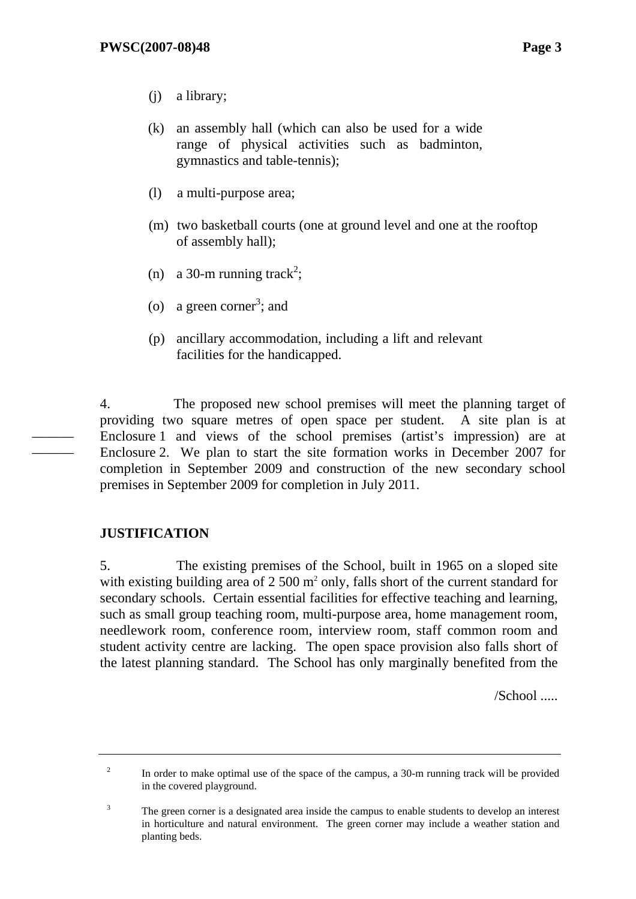- (j) a library;
- (k) an assembly hall (which can also be used for a wide range of physical activities such as badminton, gymnastics and table-tennis);
- (l) a multi-purpose area;
- (m) two basketball courts (one at ground level and one at the rooftop of assembly hall);
- (n) a 30-m running track<sup>2</sup>;
- (o) a green corner<sup>3</sup>; and
- (p) ancillary accommodation, including a lift and relevant facilities for the handicapped.

4. The proposed new school premises will meet the planning target of providing two square metres of open space per student. A site plan is at Enclosure 1 and views of the school premises (artist's impression) are at Enclosure 2. We plan to start the site formation works in December 2007 for completion in September 2009 and construction of the new secondary school premises in September 2009 for completion in July 2011.

# **JUSTIFICATION**

2

——— ———

> 5. The existing premises of the School, built in 1965 on a sloped site with existing building area of  $2500 \text{ m}^2$  only, falls short of the current standard for secondary schools. Certain essential facilities for effective teaching and learning, such as small group teaching room, multi-purpose area, home management room, needlework room, conference room, interview room, staff common room and student activity centre are lacking. The open space provision also falls short of the latest planning standard. The School has only marginally benefited from the

> > /School .....

 In order to make optimal use of the space of the campus, a 30-m running track will be provided in the covered playground.

<sup>3</sup> The green corner is a designated area inside the campus to enable students to develop an interest in horticulture and natural environment. The green corner may include a weather station and planting beds.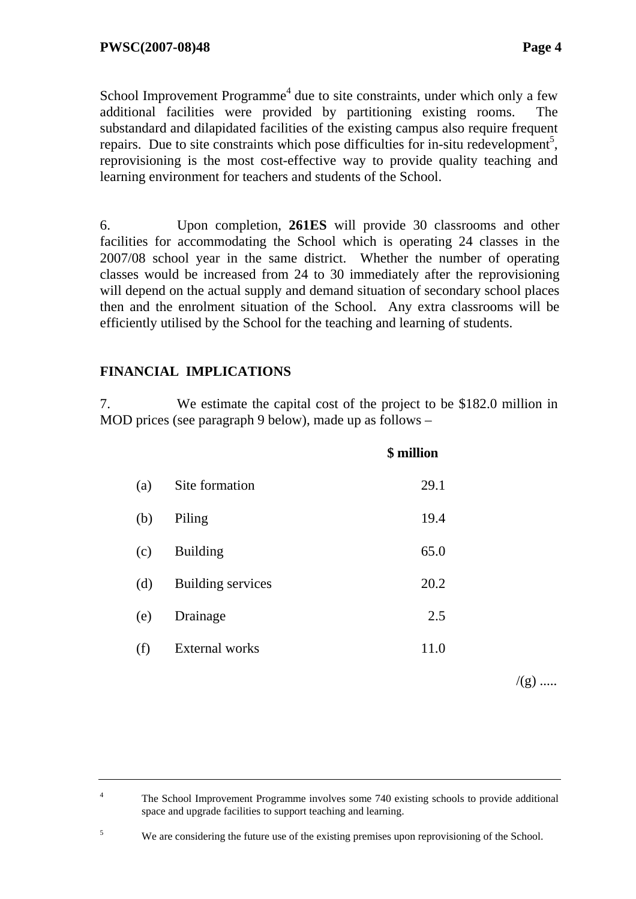School Improvement Programme<sup>4</sup> due to site constraints, under which only a few additional facilities were provided by partitioning existing rooms. The substandard and dilapidated facilities of the existing campus also require frequent repairs. Due to site constraints which pose difficulties for in-situ redevelopment<sup>5</sup>, reprovisioning is the most cost-effective way to provide quality teaching and learning environment for teachers and students of the School.

6. Upon completion, **261ES** will provide 30 classrooms and other facilities for accommodating the School which is operating 24 classes in the 2007/08 school year in the same district. Whether the number of operating classes would be increased from 24 to 30 immediately after the reprovisioning will depend on the actual supply and demand situation of secondary school places then and the enrolment situation of the School. Any extra classrooms will be efficiently utilised by the School for the teaching and learning of students.

# **FINANCIAL IMPLICATIONS**

5

7. We estimate the capital cost of the project to be \$182.0 million in MOD prices (see paragraph 9 below), made up as follows –

|     |                          | \$ million |
|-----|--------------------------|------------|
| (a) | Site formation           | 29.1       |
| (b) | Piling                   | 19.4       |
| (c) | <b>Building</b>          | 65.0       |
| (d) | <b>Building services</b> | 20.2       |
| (e) | Drainage                 | 2.5        |
| (f) | <b>External works</b>    | 11.0       |
|     |                          |            |

 $/(g)$  .....

We are considering the future use of the existing premises upon reprovisioning of the School.

<sup>4</sup> The School Improvement Programme involves some 740 existing schools to provide additional space and upgrade facilities to support teaching and learning.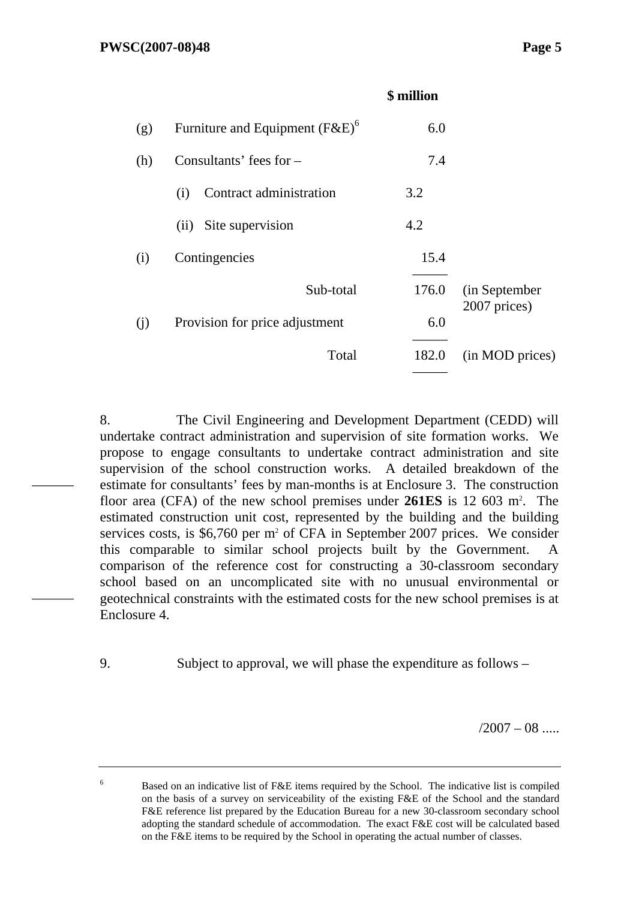———

———

6

|     |                                   | \$ million |                               |
|-----|-----------------------------------|------------|-------------------------------|
| (g) | Furniture and Equipment $(F&E)^6$ | 6.0        |                               |
| (h) | Consultants' fees for $-$         | 7.4        |                               |
|     | Contract administration<br>(i)    | 3.2        |                               |
|     | Site supervision<br>(ii)          | 4.2        |                               |
| (i) | Contingencies                     | 15.4       |                               |
|     | Sub-total                         | 176.0      | (in September<br>2007 prices) |
| (j) | Provision for price adjustment    | 6.0        |                               |
|     | Total                             | 182.0      | (in MOD prices)               |

8. The Civil Engineering and Development Department (CEDD) will undertake contract administration and supervision of site formation works. We propose to engage consultants to undertake contract administration and site supervision of the school construction works. A detailed breakdown of the estimate for consultants' fees by man-months is at Enclosure 3. The construction floor area (CFA) of the new school premises under **261ES** is 12 603 m<sup>2</sup>. The estimated construction unit cost, represented by the building and the building services costs, is \$6,760 per m<sup>2</sup> of CFA in September 2007 prices. We consider this comparable to similar school projects built by the Government. A comparison of the reference cost for constructing a 30-classroom secondary school based on an uncomplicated site with no unusual environmental or geotechnical constraints with the estimated costs for the new school premises is at Enclosure 4.

9. Subject to approval, we will phase the expenditure as follows –

 $/2007 - 08$  .....

 Based on an indicative list of F&E items required by the School. The indicative list is compiled on the basis of a survey on serviceability of the existing F&E of the School and the standard F&E reference list prepared by the Education Bureau for a new 30-classroom secondary school adopting the standard schedule of accommodation. The exact F&E cost will be calculated based on the F&E items to be required by the School in operating the actual number of classes.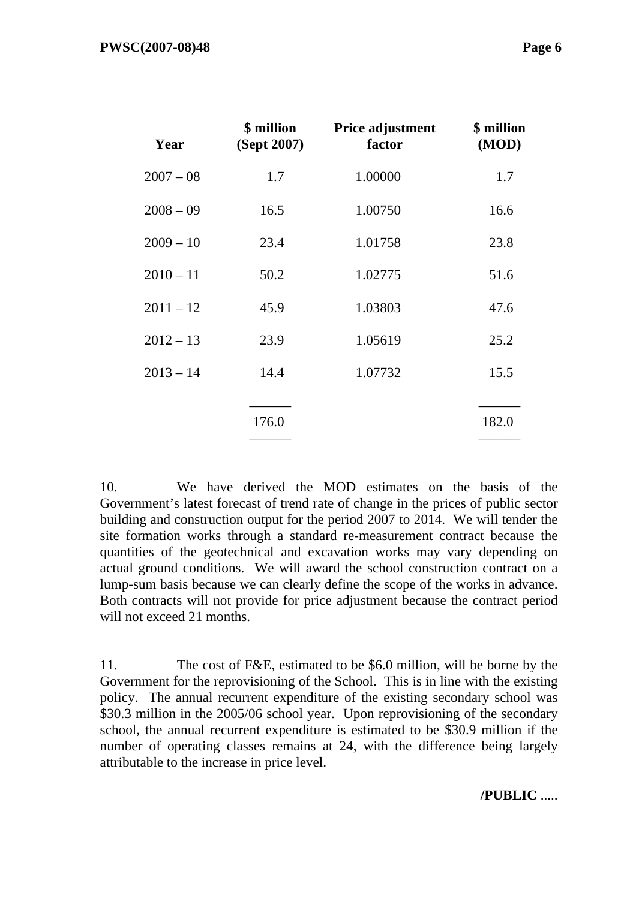| Year        | \$ million<br>(Sept 2007) | Price adjustment<br>factor | \$ million<br>(MOD) |
|-------------|---------------------------|----------------------------|---------------------|
| $2007 - 08$ | 1.7                       | 1.00000                    | 1.7                 |
| $2008 - 09$ | 16.5                      | 1.00750                    | 16.6                |
| $2009 - 10$ | 23.4                      | 1.01758                    | 23.8                |
| $2010 - 11$ | 50.2                      | 1.02775                    | 51.6                |
| $2011 - 12$ | 45.9                      | 1.03803                    | 47.6                |
| $2012 - 13$ | 23.9                      | 1.05619                    | 25.2                |
| $2013 - 14$ | 14.4                      | 1.07732                    | 15.5                |
|             |                           |                            |                     |
|             | 176.0                     |                            | 182.0               |

10. We have derived the MOD estimates on the basis of the Government's latest forecast of trend rate of change in the prices of public sector building and construction output for the period 2007 to 2014. We will tender the site formation works through a standard re-measurement contract because the quantities of the geotechnical and excavation works may vary depending on actual ground conditions. We will award the school construction contract on a lump-sum basis because we can clearly define the scope of the works in advance. Both contracts will not provide for price adjustment because the contract period will not exceed 21 months.

11. The cost of F&E, estimated to be \$6.0 million, will be borne by the Government for the reprovisioning of the School. This is in line with the existing policy. The annual recurrent expenditure of the existing secondary school was \$30.3 million in the 2005/06 school year. Upon reprovisioning of the secondary school, the annual recurrent expenditure is estimated to be \$30.9 million if the number of operating classes remains at 24, with the difference being largely attributable to the increase in price level.

**/PUBLIC** .....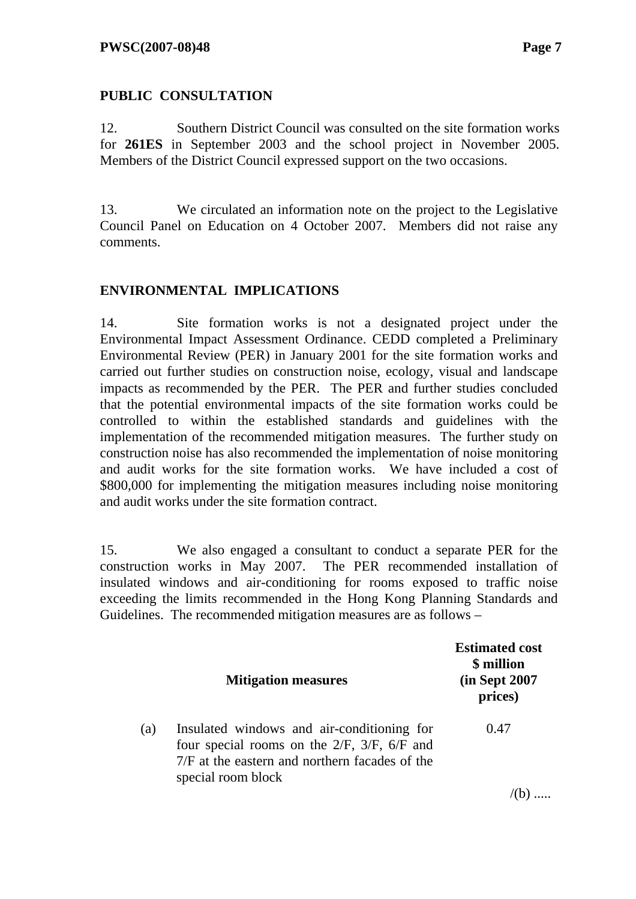# **PUBLIC CONSULTATION**

12. Southern District Council was consulted on the site formation works for **261ES** in September 2003 and the school project in November 2005. Members of the District Council expressed support on the two occasions.

13. We circulated an information note on the project to the Legislative Council Panel on Education on 4 October 2007. Members did not raise any comments.

### **ENVIRONMENTAL IMPLICATIONS**

14. Site formation works is not a designated project under the Environmental Impact Assessment Ordinance. CEDD completed a Preliminary Environmental Review (PER) in January 2001 for the site formation works and carried out further studies on construction noise, ecology, visual and landscape impacts as recommended by the PER. The PER and further studies concluded that the potential environmental impacts of the site formation works could be controlled to within the established standards and guidelines with the implementation of the recommended mitigation measures. The further study on construction noise has also recommended the implementation of noise monitoring and audit works for the site formation works. We have included a cost of \$800,000 for implementing the mitigation measures including noise monitoring and audit works under the site formation contract.

15. We also engaged a consultant to conduct a separate PER for the construction works in May 2007. The PER recommended installation of insulated windows and air-conditioning for rooms exposed to traffic noise exceeding the limits recommended in the Hong Kong Planning Standards and Guidelines. The recommended mitigation measures are as follows –

|     | <b>Mitigation measures</b>                                                                                                                                                | <b>Estimated cost</b><br>\$ million<br>(in Sept 2007)<br>prices) |
|-----|---------------------------------------------------------------------------------------------------------------------------------------------------------------------------|------------------------------------------------------------------|
| (a) | Insulated windows and air-conditioning for<br>four special rooms on the $2/F$ , $3/F$ , $6/F$ and<br>7/F at the eastern and northern facades of the<br>special room block | 0.47                                                             |
|     |                                                                                                                                                                           |                                                                  |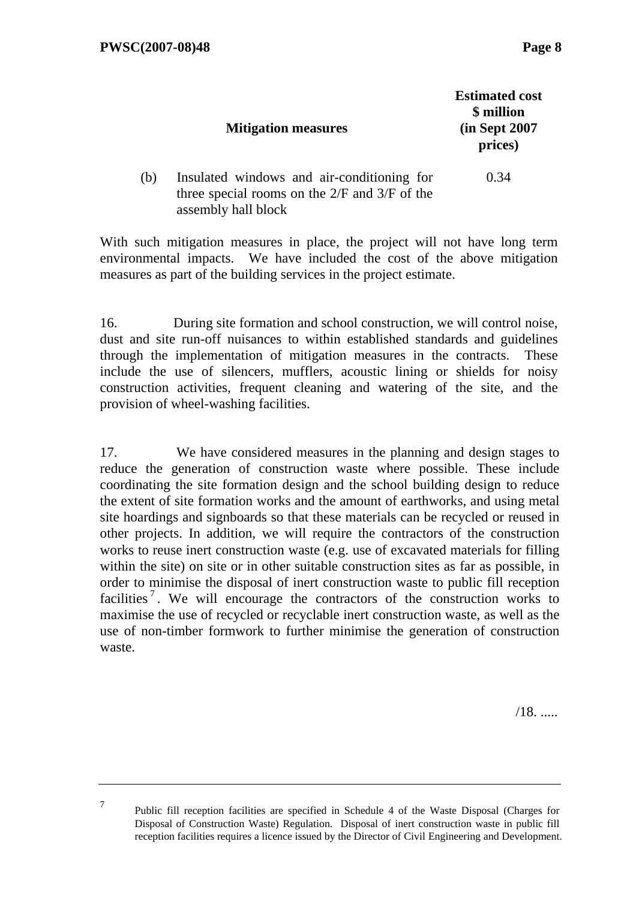|     | <b>Mitigation measures</b>                                                                                             | <b>Estimated cost</b><br>\$ million<br>(in Sept 2007)<br>prices) |
|-----|------------------------------------------------------------------------------------------------------------------------|------------------------------------------------------------------|
| (b) | Insulated windows and air-conditioning for<br>three special rooms on the $2/F$ and $3/F$ of the<br>assembly hall block | 0.34                                                             |

With such mitigation measures in place, the project will not have long term environmental impacts. We have included the cost of the above mitigation measures as part of the building services in the project estimate.

16. During site formation and school construction, we will control noise, dust and site run-off nuisances to within established standards and guidelines through the implementation of mitigation measures in the contracts. These include the use of silencers, mufflers, acoustic lining or shields for noisy construction activities, frequent cleaning and watering of the site, and the provision of wheel-washing facilities.

17. We have considered measures in the planning and design stages to reduce the generation of construction waste where possible. These include coordinating the site formation design and the school building design to reduce the extent of site formation works and the amount of earthworks, and using metal site hoardings and signboards so that these materials can be recycled or reused in other projects. In addition, we will require the contractors of the construction works to reuse inert construction waste (e.g. use of excavated materials for filling within the site) on site or in other suitable construction sites as far as possible, in order to minimise the disposal of inert construction waste to public fill reception facilities<sup>7</sup>. We will encourage the contractors of the construction works to maximise the use of recycled or recyclable inert construction waste, as well as the use of non-timber formwork to further minimise the generation of construction waste.

/18. .....

<sup>7</sup> Public fill reception facilities are specified in Schedule 4 of the Waste Disposal (Charges for Disposal of Construction Waste) Regulation. Disposal of inert construction waste in public fill reception facilities requires a licence issued by the Director of Civil Engineering and Development.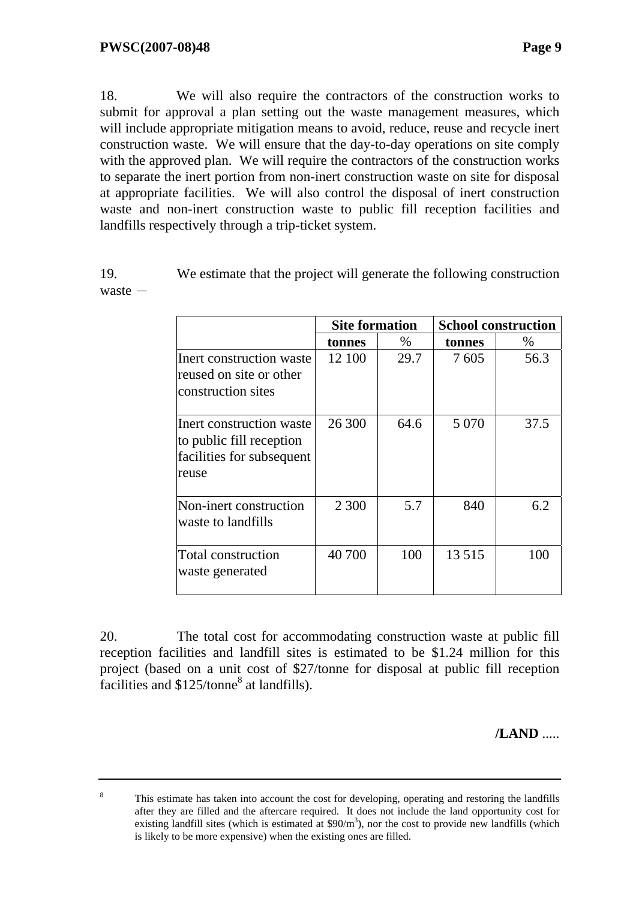18. We will also require the contractors of the construction works to submit for approval a plan setting out the waste management measures, which will include appropriate mitigation means to avoid, reduce, reuse and recycle inert construction waste. We will ensure that the day-to-day operations on site comply with the approved plan. We will require the contractors of the construction works to separate the inert portion from non-inert construction waste on site for disposal at appropriate facilities. We will also control the disposal of inert construction waste and non-inert construction waste to public fill reception facilities and landfills respectively through a trip-ticket system.

19. We estimate that the project will generate the following construction  $waste -$ 

|                                                                                            | <b>Site formation</b> |      | <b>School construction</b> |      |
|--------------------------------------------------------------------------------------------|-----------------------|------|----------------------------|------|
|                                                                                            | tonnes                | $\%$ | tonnes                     | $\%$ |
| Inert construction waste<br>reused on site or other<br>construction sites                  | 12 100                | 29.7 | 7605                       | 56.3 |
| Inert construction waste<br>to public fill reception<br>facilities for subsequent<br>reuse | 26 300                | 64.6 | 5 0 7 0                    | 37.5 |
| Non-inert construction<br>waste to landfills                                               | 2 3 0 0               | 5.7  | 840                        | 6.2  |
| <b>Total construction</b><br>waste generated                                               | 40 700                | 100  | 13 5 15                    | 100  |

20. The total cost for accommodating construction waste at public fill reception facilities and landfill sites is estimated to be \$1.24 million for this project (based on a unit cost of \$27/tonne for disposal at public fill reception facilities and  $$125/tonne<sup>8</sup>$  at landfills).

**/LAND** .....

8 This estimate has taken into account the cost for developing, operating and restoring the landfills after they are filled and the aftercare required. It does not include the land opportunity cost for existing landfill sites (which is estimated at  $$90/m<sup>3</sup>$ ), nor the cost to provide new landfills (which is likely to be more expensive) when the existing ones are filled.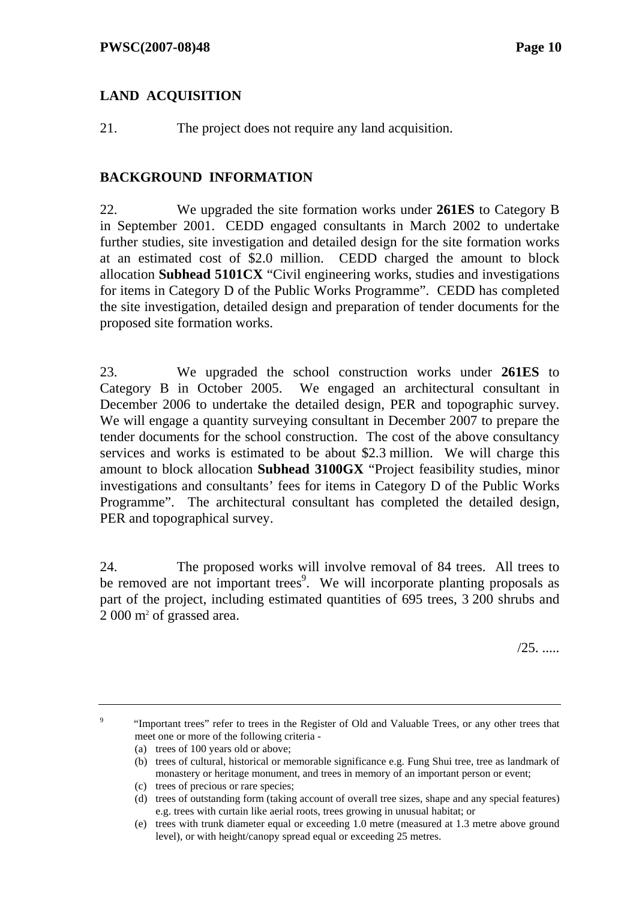# **LAND ACQUISITION**

21. The project does not require any land acquisition.

### **BACKGROUND INFORMATION**

22. We upgraded the site formation works under **261ES** to Category B in September 2001.CEDD engaged consultants in March 2002 to undertake further studies, site investigation and detailed design for the site formation works at an estimated cost of \$2.0 million. CEDD charged the amount to block allocation **Subhead 5101CX** "Civil engineering works, studies and investigations for items in Category D of the Public Works Programme". CEDD has completed the site investigation, detailed design and preparation of tender documents for the proposed site formation works.

23. We upgraded the school construction works under **261ES** to Category B in October 2005. We engaged an architectural consultant in December 2006 to undertake the detailed design, PER and topographic survey. We will engage a quantity surveying consultant in December 2007 to prepare the tender documents for the school construction. The cost of the above consultancy services and works is estimated to be about \$2.3 million. We will charge this amount to block allocation **Subhead 3100GX** "Project feasibility studies, minor investigations and consultants' fees for items in Category D of the Public Works Programme". The architectural consultant has completed the detailed design, PER and topographical survey.

24. The proposed works will involve removal of 84 trees. All trees to be removed are not important trees<sup>9</sup>. We will incorporate planting proposals as part of the project, including estimated quantities of 695 trees, 3 200 shrubs and 2 000 m2 of grassed area.

/25. .....

9 "Important trees" refer to trees in the Register of Old and Valuable Trees, or any other trees that meet one or more of the following criteria -

- (a) trees of 100 years old or above;
- (b) trees of cultural, historical or memorable significance e.g. Fung Shui tree, tree as landmark of monastery or heritage monument, and trees in memory of an important person or event;
- (c) trees of precious or rare species;
- (d) trees of outstanding form (taking account of overall tree sizes, shape and any special features) e.g. trees with curtain like aerial roots, trees growing in unusual habitat; or

<sup>(</sup>e) trees with trunk diameter equal or exceeding 1.0 metre (measured at 1.3 metre above ground level), or with height/canopy spread equal or exceeding 25 metres.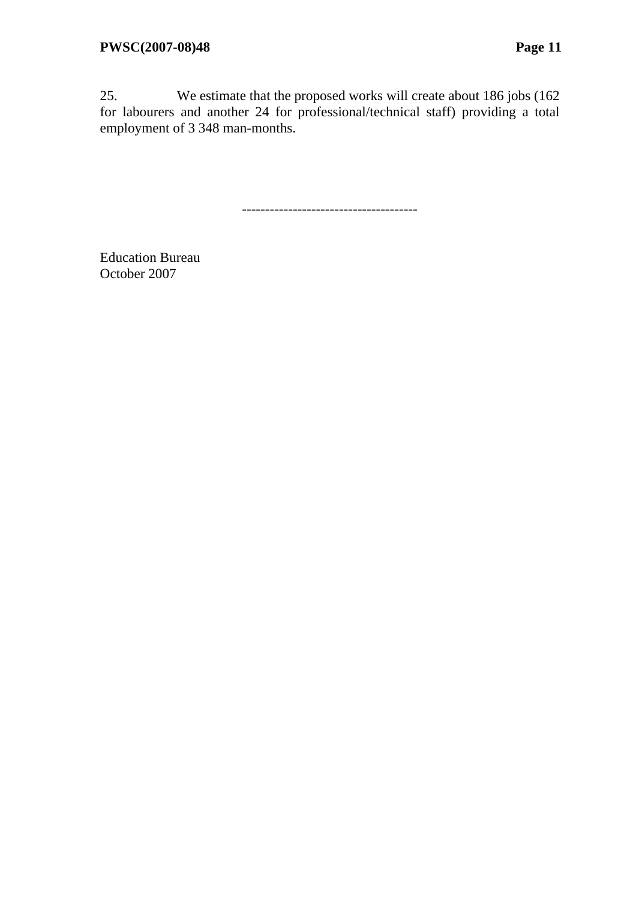25. We estimate that the proposed works will create about 186 jobs (162 for labourers and another 24 for professional/technical staff) providing a total employment of 3 348 man-months.

--------------------------------------

Education Bureau October 2007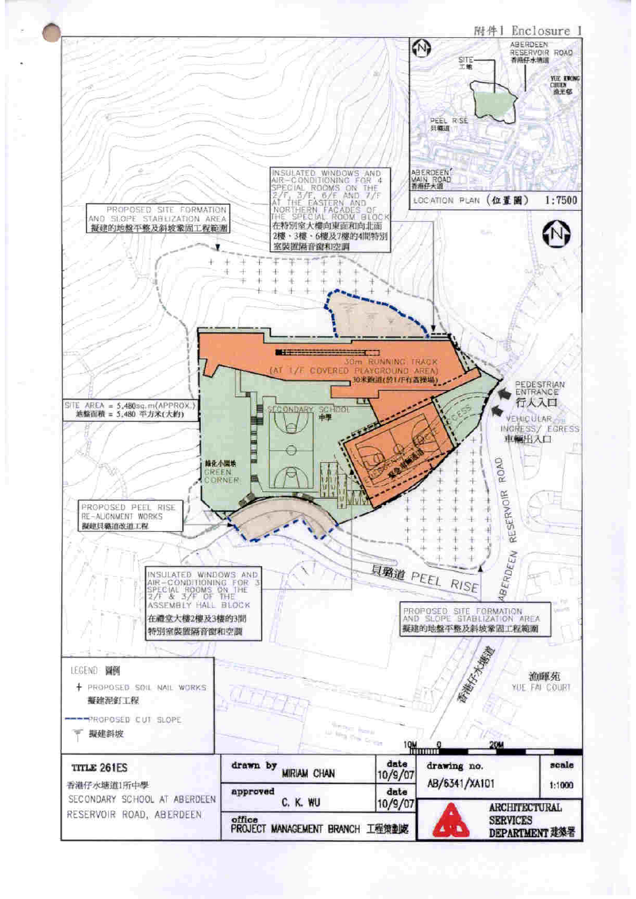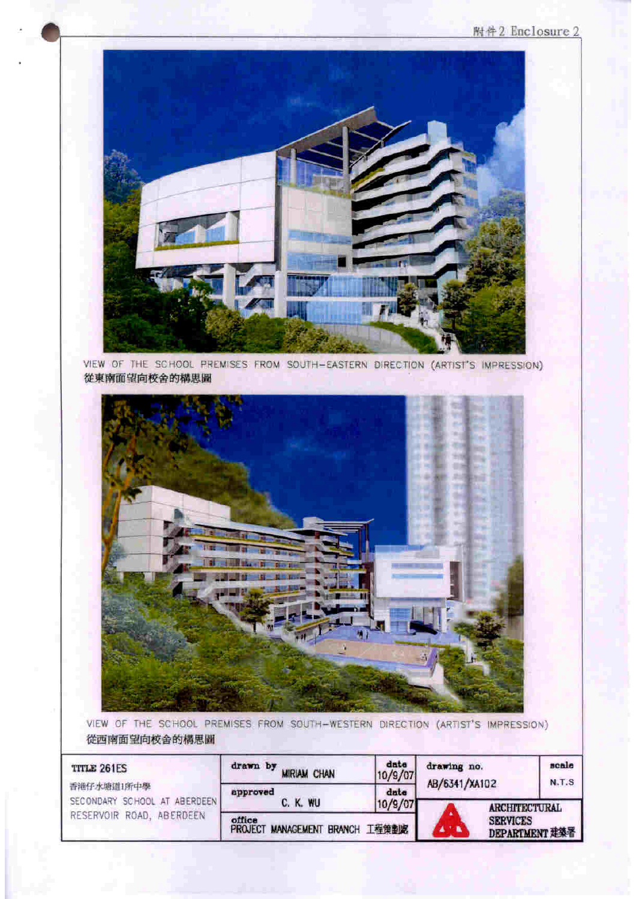#### 附件2 Enclosure 2



VIEW OF THE SCHOOL PREMISES FROM SOUTH-EASTERN DIRECTION (ARTIST'S IMPRESSION) 從東南面望向校舍的構思圖



VIEW OF THE SCHOOL PREMISES FROM SOUTH-WESTERN DIRECTION (ARTIST'S IMPRESSION) 從西南面望向校舍的構思圖

| <b>TITLE 261ES</b>           | drawn by                                  | date    | drawing no.                       | scale        |
|------------------------------|-------------------------------------------|---------|-----------------------------------|--------------|
|                              | <b>MIRIAM CHAN</b>                        | 10/9/07 | AB/6341/XA102                     | <b>N.T.S</b> |
| 香港仔水塘道1所中學                   | approved                                  | date    | <b>ARCHITECTURAL</b>              |              |
| SECONDARY SCHOOL AT ABERDEEN | C. K. WU                                  | 10/9/07 |                                   |              |
| RESERVOIR ROAD, ABERDEEN     | office<br>PROJECT MANAGEMENT BRANCH 工程策劃處 |         | <b>SERVICES</b><br>DEPARTMENT 建築署 |              |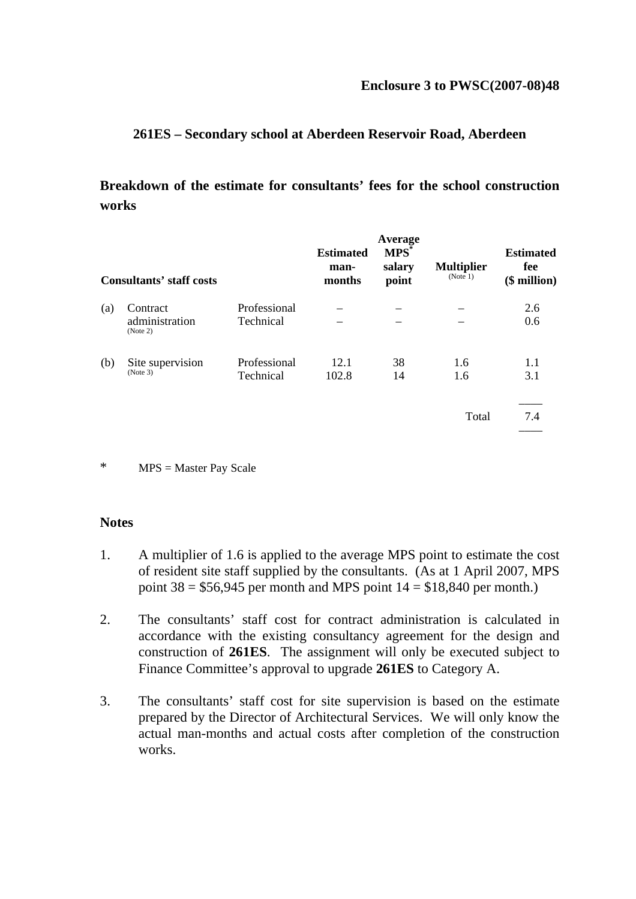### **261ES – Secondary school at Aberdeen Reservoir Road, Aberdeen**

# **Breakdown of the estimate for consultants' fees for the school construction works**

|     | <b>Consultants' staff costs</b>        |                           | <b>Estimated</b><br>man-<br>months | Average<br>$MPS^*$<br>salary<br>point | <b>Multiplier</b><br>(Note 1) | <b>Estimated</b><br>fee<br>$$$ million) |
|-----|----------------------------------------|---------------------------|------------------------------------|---------------------------------------|-------------------------------|-----------------------------------------|
| (a) | Contract<br>administration<br>(Note 2) | Professional<br>Technical |                                    |                                       |                               | 2.6<br>0.6                              |
| (b) | Site supervision<br>(Note 3)           | Professional<br>Technical | 12.1<br>102.8                      | 38<br>14                              | 1.6<br>1.6                    | 1.1<br>3.1                              |
|     |                                        |                           |                                    |                                       | Total                         | 7.4                                     |

<sup>\*</sup> MPS = Master Pay Scale

#### **Notes**

- 1. A multiplier of 1.6 is applied to the average MPS point to estimate the cost of resident site staff supplied by the consultants. (As at 1 April 2007, MPS point  $38 = $56,945$  per month and MPS point  $14 = $18,840$  per month.)
- 2. The consultants' staff cost for contract administration is calculated in accordance with the existing consultancy agreement for the design and construction of **261ES**. The assignment will only be executed subject to Finance Committee's approval to upgrade **261ES** to Category A.
- 3. The consultants' staff cost for site supervision is based on the estimate prepared by the Director of Architectural Services. We will only know the actual man-months and actual costs after completion of the construction works.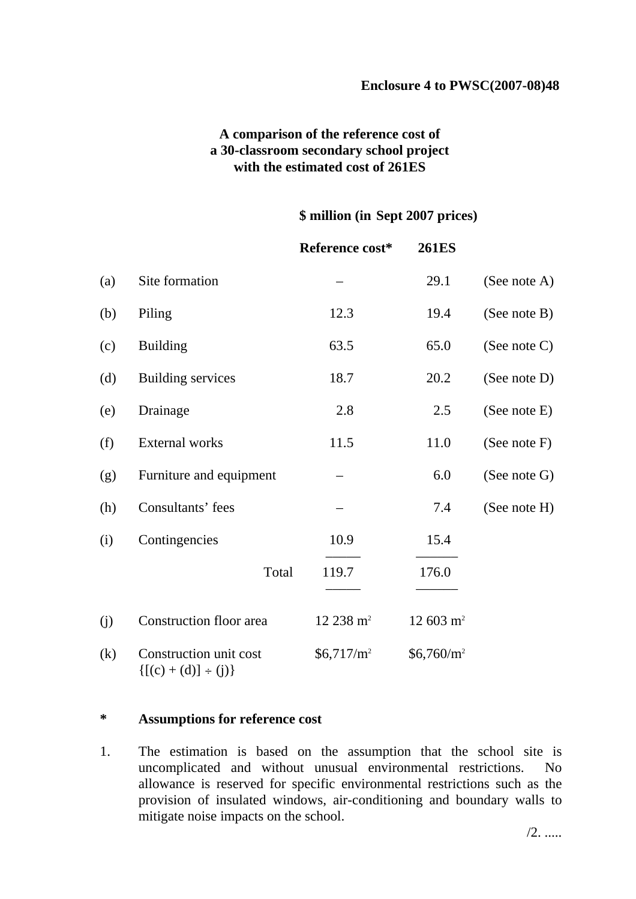### **A comparison of the reference cost of a 30-classroom secondary school project with the estimated cost of 261ES**

#### **\$ million (in Sept 2007 prices)**

|     |                                                    | Reference cost*       | <b>261ES</b>        |                 |
|-----|----------------------------------------------------|-----------------------|---------------------|-----------------|
| (a) | Site formation                                     |                       | 29.1                | (See note $A$ ) |
| (b) | Piling                                             | 12.3                  | 19.4                | (See note B)    |
| (c) | <b>Building</b>                                    | 63.5                  | 65.0                | (See note $C$ ) |
| (d) | <b>Building services</b>                           | 18.7                  | 20.2                | (See note D)    |
| (e) | Drainage                                           | 2.8                   | 2.5                 | (See note E)    |
| (f) | External works                                     | 11.5                  | 11.0                | (See note F)    |
| (g) | Furniture and equipment                            |                       | 6.0                 | (See note G)    |
| (h) | Consultants' fees                                  |                       | 7.4                 | (See note H)    |
| (i) | Contingencies                                      | 10.9                  | 15.4                |                 |
|     | Total                                              | 119.7                 | 176.0               |                 |
| (j) | Construction floor area                            | 12 238 m <sup>2</sup> | $12603 \text{ m}^2$ |                 |
| (k) | Construction unit cost<br>${[(c) + (d)] \div (j)}$ | $$6,717/m^2$$         | $$6,760/m^2$$       |                 |

### **\* Assumptions for reference cost**

1. The estimation is based on the assumption that the school site is uncomplicated and without unusual environmental restrictions. No allowance is reserved for specific environmental restrictions such as the provision of insulated windows, air-conditioning and boundary walls to mitigate noise impacts on the school.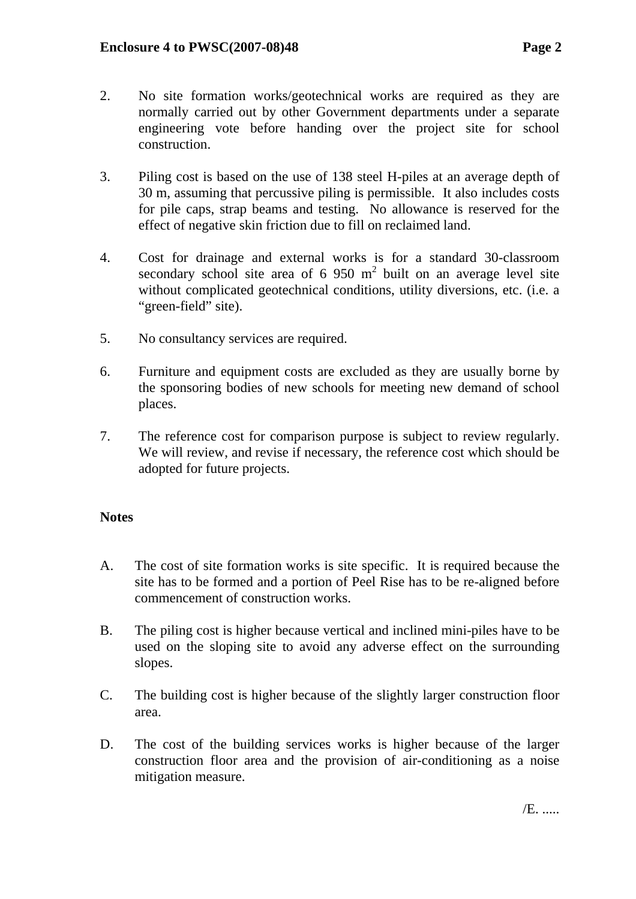- 2. No site formation works/geotechnical works are required as they are normally carried out by other Government departments under a separate engineering vote before handing over the project site for school construction.
- 3. Piling cost is based on the use of 138 steel H-piles at an average depth of 30 m, assuming that percussive piling is permissible. It also includes costs for pile caps, strap beams and testing. No allowance is reserved for the effect of negative skin friction due to fill on reclaimed land.
- 4. Cost for drainage and external works is for a standard 30-classroom secondary school site area of  $6\,950\ \text{m}^2$  built on an average level site without complicated geotechnical conditions, utility diversions, etc. (i.e. a "green-field" site).
- 5. No consultancy services are required.
- 6. Furniture and equipment costs are excluded as they are usually borne by the sponsoring bodies of new schools for meeting new demand of school places.
- 7. The reference cost for comparison purpose is subject to review regularly. We will review, and revise if necessary, the reference cost which should be adopted for future projects.

### **Notes**

- A. The cost of site formation works is site specific. It is required because the site has to be formed and a portion of Peel Rise has to be re-aligned before commencement of construction works.
- B. The piling cost is higher because vertical and inclined mini-piles have to be used on the sloping site to avoid any adverse effect on the surrounding slopes.
- C. The building cost is higher because of the slightly larger construction floor area.
- D. The cost of the building services works is higher because of the larger construction floor area and the provision of air-conditioning as a noise mitigation measure.